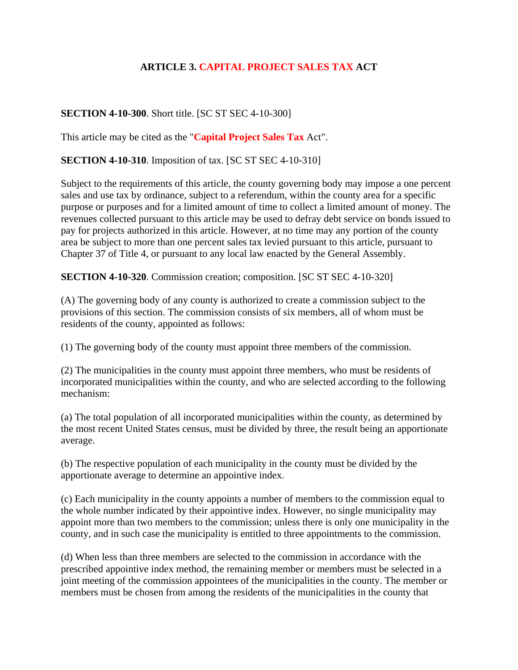## **ARTICLE 3. CAPITAL PROJECT SALES TAX ACT**

## **SECTION 4-10-300**. Short title. [SC ST SEC 4-10-300]

This article may be cited as the "**Capital Project Sales Tax** Act".

**SECTION 4-10-310.** Imposition of tax. [SC ST SEC 4-10-310]

Subject to the requirements of this article, the county governing body may impose a one percent sales and use tax by ordinance, subject to a referendum, within the county area for a specific purpose or purposes and for a limited amount of time to collect a limited amount of money. The revenues collected pursuant to this article may be used to defray debt service on bonds issued to pay for projects authorized in this article. However, at no time may any portion of the county area be subject to more than one percent sales tax levied pursuant to this article, pursuant to Chapter 37 of Title 4, or pursuant to any local law enacted by the General Assembly.

**SECTION 4-10-320**. Commission creation; composition. [SC ST SEC 4-10-320]

(A) The governing body of any county is authorized to create a commission subject to the provisions of this section. The commission consists of six members, all of whom must be residents of the county, appointed as follows:

(1) The governing body of the county must appoint three members of the commission.

(2) The municipalities in the county must appoint three members, who must be residents of incorporated municipalities within the county, and who are selected according to the following mechanism:

(a) The total population of all incorporated municipalities within the county, as determined by the most recent United States census, must be divided by three, the result being an apportionate average.

(b) The respective population of each municipality in the county must be divided by the apportionate average to determine an appointive index.

(c) Each municipality in the county appoints a number of members to the commission equal to the whole number indicated by their appointive index. However, no single municipality may appoint more than two members to the commission; unless there is only one municipality in the county, and in such case the municipality is entitled to three appointments to the commission.

(d) When less than three members are selected to the commission in accordance with the prescribed appointive index method, the remaining member or members must be selected in a joint meeting of the commission appointees of the municipalities in the county. The member or members must be chosen from among the residents of the municipalities in the county that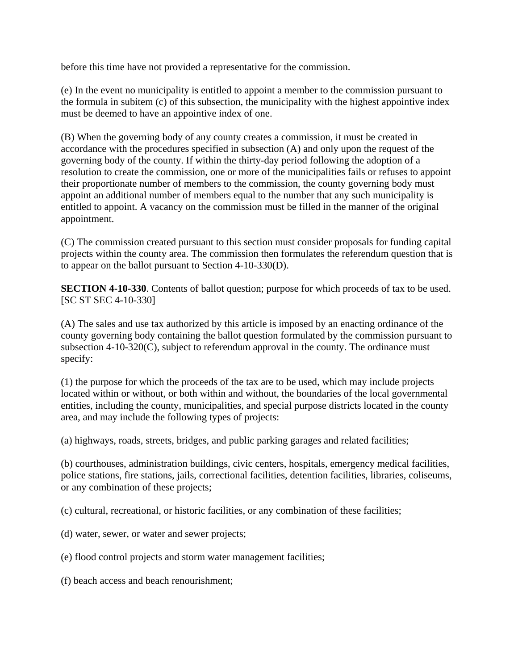before this time have not provided a representative for the commission.

(e) In the event no municipality is entitled to appoint a member to the commission pursuant to the formula in subitem (c) of this subsection, the municipality with the highest appointive index must be deemed to have an appointive index of one.

(B) When the governing body of any county creates a commission, it must be created in accordance with the procedures specified in subsection (A) and only upon the request of the governing body of the county. If within the thirty-day period following the adoption of a resolution to create the commission, one or more of the municipalities fails or refuses to appoint their proportionate number of members to the commission, the county governing body must appoint an additional number of members equal to the number that any such municipality is entitled to appoint. A vacancy on the commission must be filled in the manner of the original appointment.

(C) The commission created pursuant to this section must consider proposals for funding capital projects within the county area. The commission then formulates the referendum question that is to appear on the ballot pursuant to Section 4-10-330(D).

**SECTION 4-10-330**. Contents of ballot question; purpose for which proceeds of tax to be used. [SC ST SEC 4-10-330]

(A) The sales and use tax authorized by this article is imposed by an enacting ordinance of the county governing body containing the ballot question formulated by the commission pursuant to subsection 4-10-320(C), subject to referendum approval in the county. The ordinance must specify:

(1) the purpose for which the proceeds of the tax are to be used, which may include projects located within or without, or both within and without, the boundaries of the local governmental entities, including the county, municipalities, and special purpose districts located in the county area, and may include the following types of projects:

(a) highways, roads, streets, bridges, and public parking garages and related facilities;

(b) courthouses, administration buildings, civic centers, hospitals, emergency medical facilities, police stations, fire stations, jails, correctional facilities, detention facilities, libraries, coliseums, or any combination of these projects;

(c) cultural, recreational, or historic facilities, or any combination of these facilities;

- (d) water, sewer, or water and sewer projects;
- (e) flood control projects and storm water management facilities;
- (f) beach access and beach renourishment;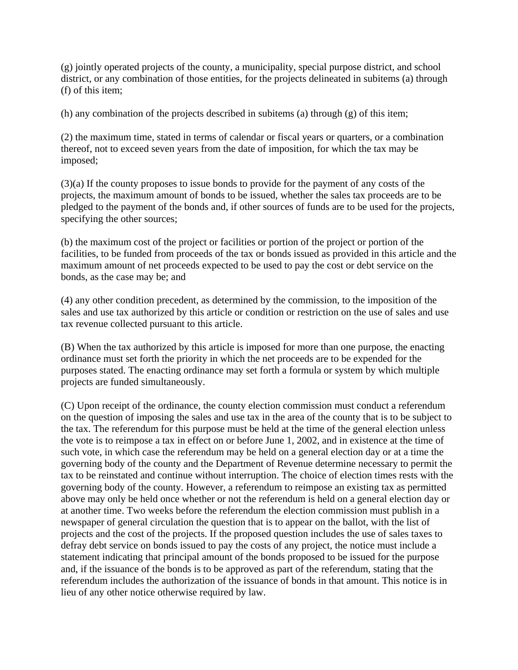(g) jointly operated projects of the county, a municipality, special purpose district, and school district, or any combination of those entities, for the projects delineated in subitems (a) through (f) of this item;

(h) any combination of the projects described in subitems (a) through (g) of this item;

(2) the maximum time, stated in terms of calendar or fiscal years or quarters, or a combination thereof, not to exceed seven years from the date of imposition, for which the tax may be imposed;

(3)(a) If the county proposes to issue bonds to provide for the payment of any costs of the projects, the maximum amount of bonds to be issued, whether the sales tax proceeds are to be pledged to the payment of the bonds and, if other sources of funds are to be used for the projects, specifying the other sources;

(b) the maximum cost of the project or facilities or portion of the project or portion of the facilities, to be funded from proceeds of the tax or bonds issued as provided in this article and the maximum amount of net proceeds expected to be used to pay the cost or debt service on the bonds, as the case may be; and

(4) any other condition precedent, as determined by the commission, to the imposition of the sales and use tax authorized by this article or condition or restriction on the use of sales and use tax revenue collected pursuant to this article.

(B) When the tax authorized by this article is imposed for more than one purpose, the enacting ordinance must set forth the priority in which the net proceeds are to be expended for the purposes stated. The enacting ordinance may set forth a formula or system by which multiple projects are funded simultaneously.

(C) Upon receipt of the ordinance, the county election commission must conduct a referendum on the question of imposing the sales and use tax in the area of the county that is to be subject to the tax. The referendum for this purpose must be held at the time of the general election unless the vote is to reimpose a tax in effect on or before June 1, 2002, and in existence at the time of such vote, in which case the referendum may be held on a general election day or at a time the governing body of the county and the Department of Revenue determine necessary to permit the tax to be reinstated and continue without interruption. The choice of election times rests with the governing body of the county. However, a referendum to reimpose an existing tax as permitted above may only be held once whether or not the referendum is held on a general election day or at another time. Two weeks before the referendum the election commission must publish in a newspaper of general circulation the question that is to appear on the ballot, with the list of projects and the cost of the projects. If the proposed question includes the use of sales taxes to defray debt service on bonds issued to pay the costs of any project, the notice must include a statement indicating that principal amount of the bonds proposed to be issued for the purpose and, if the issuance of the bonds is to be approved as part of the referendum, stating that the referendum includes the authorization of the issuance of bonds in that amount. This notice is in lieu of any other notice otherwise required by law.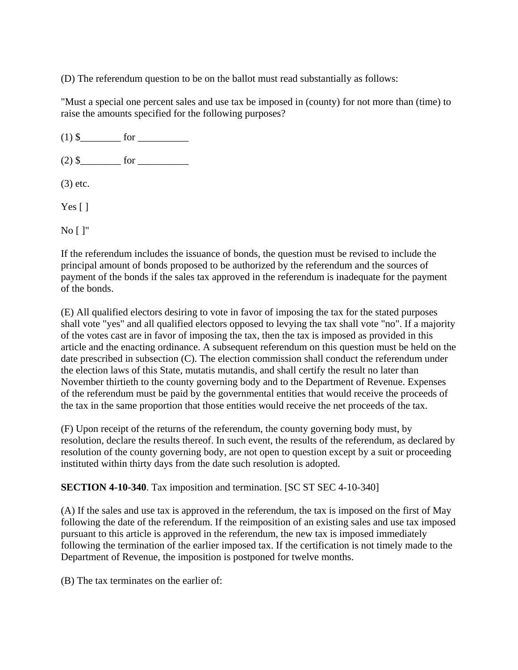(D) The referendum question to be on the ballot must read substantially as follows:

"Must a special one percent sales and use tax be imposed in (county) for not more than (time) to raise the amounts specified for the following purposes?

(1) \$\_\_\_\_\_\_\_\_ for \_\_\_\_\_\_\_\_\_\_

(2) \$\_\_\_\_\_\_\_\_ for \_\_\_\_\_\_\_\_\_\_

(3) etc.

Yes  $\lceil \cdot \rceil$ 

No [ ]"

If the referendum includes the issuance of bonds, the question must be revised to include the principal amount of bonds proposed to be authorized by the referendum and the sources of payment of the bonds if the sales tax approved in the referendum is inadequate for the payment of the bonds.

(E) All qualified electors desiring to vote in favor of imposing the tax for the stated purposes shall vote "yes" and all qualified electors opposed to levying the tax shall vote "no". If a majority of the votes cast are in favor of imposing the tax, then the tax is imposed as provided in this article and the enacting ordinance. A subsequent referendum on this question must be held on the date prescribed in subsection (C). The election commission shall conduct the referendum under the election laws of this State, mutatis mutandis, and shall certify the result no later than November thirtieth to the county governing body and to the Department of Revenue. Expenses of the referendum must be paid by the governmental entities that would receive the proceeds of the tax in the same proportion that those entities would receive the net proceeds of the tax.

(F) Upon receipt of the returns of the referendum, the county governing body must, by resolution, declare the results thereof. In such event, the results of the referendum, as declared by resolution of the county governing body, are not open to question except by a suit or proceeding instituted within thirty days from the date such resolution is adopted.

**SECTION 4-10-340**. Tax imposition and termination. [SC ST SEC 4-10-340]

(A) If the sales and use tax is approved in the referendum, the tax is imposed on the first of May following the date of the referendum. If the reimposition of an existing sales and use tax imposed pursuant to this article is approved in the referendum, the new tax is imposed immediately following the termination of the earlier imposed tax. If the certification is not timely made to the Department of Revenue, the imposition is postponed for twelve months.

(B) The tax terminates on the earlier of: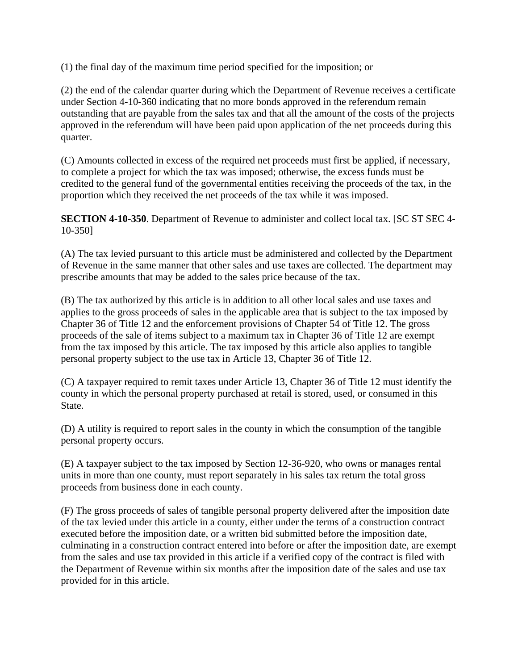(1) the final day of the maximum time period specified for the imposition; or

(2) the end of the calendar quarter during which the Department of Revenue receives a certificate under Section 4-10-360 indicating that no more bonds approved in the referendum remain outstanding that are payable from the sales tax and that all the amount of the costs of the projects approved in the referendum will have been paid upon application of the net proceeds during this quarter.

(C) Amounts collected in excess of the required net proceeds must first be applied, if necessary, to complete a project for which the tax was imposed; otherwise, the excess funds must be credited to the general fund of the governmental entities receiving the proceeds of the tax, in the proportion which they received the net proceeds of the tax while it was imposed.

**SECTION 4-10-350**. Department of Revenue to administer and collect local tax. [SC ST SEC 4- 10-350]

(A) The tax levied pursuant to this article must be administered and collected by the Department of Revenue in the same manner that other sales and use taxes are collected. The department may prescribe amounts that may be added to the sales price because of the tax.

(B) The tax authorized by this article is in addition to all other local sales and use taxes and applies to the gross proceeds of sales in the applicable area that is subject to the tax imposed by Chapter 36 of Title 12 and the enforcement provisions of Chapter 54 of Title 12. The gross proceeds of the sale of items subject to a maximum tax in Chapter 36 of Title 12 are exempt from the tax imposed by this article. The tax imposed by this article also applies to tangible personal property subject to the use tax in Article 13, Chapter 36 of Title 12.

(C) A taxpayer required to remit taxes under Article 13, Chapter 36 of Title 12 must identify the county in which the personal property purchased at retail is stored, used, or consumed in this State.

(D) A utility is required to report sales in the county in which the consumption of the tangible personal property occurs.

(E) A taxpayer subject to the tax imposed by Section 12-36-920, who owns or manages rental units in more than one county, must report separately in his sales tax return the total gross proceeds from business done in each county.

(F) The gross proceeds of sales of tangible personal property delivered after the imposition date of the tax levied under this article in a county, either under the terms of a construction contract executed before the imposition date, or a written bid submitted before the imposition date, culminating in a construction contract entered into before or after the imposition date, are exempt from the sales and use tax provided in this article if a verified copy of the contract is filed with the Department of Revenue within six months after the imposition date of the sales and use tax provided for in this article.